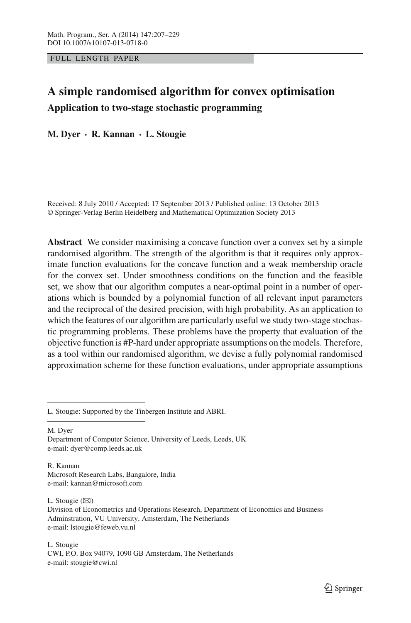FULL LENGTH PAPER

# **A simple randomised algorithm for convex optimisation Application to two-stage stochastic programming**

**M. Dyer · R. Kannan · L. Stougie**

Received: 8 July 2010 / Accepted: 17 September 2013 / Published online: 13 October 2013 © Springer-Verlag Berlin Heidelberg and Mathematical Optimization Society 2013

**Abstract** We consider maximising a concave function over a convex set by a simple randomised algorithm. The strength of the algorithm is that it requires only approximate function evaluations for the concave function and a weak membership oracle for the convex set. Under smoothness conditions on the function and the feasible set, we show that our algorithm computes a near-optimal point in a number of operations which is bounded by a polynomial function of all relevant input parameters and the reciprocal of the desired precision, with high probability. As an application to which the features of our algorithm are particularly useful we study two-stage stochastic programming problems. These problems have the property that evaluation of the objective function is #P-hard under appropriate assumptions on the models. Therefore, as a tool within our randomised algorithm, we devise a fully polynomial randomised approximation scheme for these function evaluations, under appropriate assumptions

M. Dyer

Department of Computer Science, University of Leeds, Leeds, UK e-mail: dyer@comp.leeds.ac.uk

R. Kannan Microsoft Research Labs, Bangalore, India e-mail: kannan@microsoft.com

L. Stougie  $(\boxtimes)$ 

L. Stougie CWI, P.O. Box 94079, 1090 GB Amsterdam, The Netherlands e-mail: stougie@cwi.nl

L. Stougie: Supported by the Tinbergen Institute and ABRI.

Division of Econometrics and Operations Research, Department of Economics and Business Adminstration, VU University, Amsterdam, The Netherlands e-mail: lstougie@feweb.vu.nl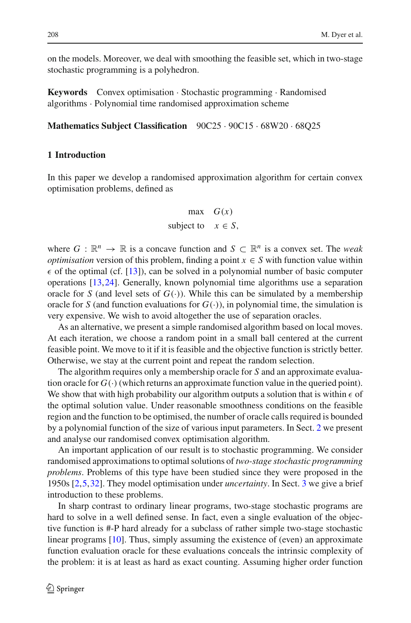on the models. Moreover, we deal with smoothing the feasible set, which in two-stage stochastic programming is a polyhedron.

**Keywords** Convex optimisation · Stochastic programming · Randomised algorithms · Polynomial time randomised approximation scheme

**Mathematics Subject Classification** 90C25 · 90C15 · 68W20 · 68Q25

## **1 Introduction**

In this paper we develop a randomised approximation algorithm for certain convex optimisation problems, defined as

$$
\max G(x)
$$
  
subject to  $x \in S$ ,

where  $G : \mathbb{R}^n \to \mathbb{R}$  is a concave function and  $S \subset \mathbb{R}^n$  is a convex set. The *weak optimisation* version of this problem, finding a point  $x \in S$  with function value within  $\epsilon$  of the optimal (cf. [\[13](#page-21-0)]), can be solved in a polynomial number of basic computer operations [\[13](#page-21-0)[,24](#page-22-0)]. Generally, known polynomial time algorithms use a separation oracle for *S* (and level sets of  $G(.)$ ). While this can be simulated by a membership oracle for *S* (and function evaluations for  $G(.)$ ), in polynomial time, the simulation is very expensive. We wish to avoid altogether the use of separation oracles.

As an alternative, we present a simple randomised algorithm based on local moves. At each iteration, we choose a random point in a small ball centered at the current feasible point. We move to it if it is feasible and the objective function is strictly better. Otherwise, we stay at the current point and repeat the random selection.

The algorithm requires only a membership oracle for *S* and an approximate evaluation oracle for  $G(\cdot)$  (which returns an approximate function value in the queried point). We show that with high probability our algorithm outputs a solution that is within  $\epsilon$  of the optimal solution value. Under reasonable smoothness conditions on the feasible region and the function to be optimised, the number of oracle calls required is bounded by a polynomial function of the size of various input parameters. In Sect. [2](#page-2-0) we present and analyse our randomised convex optimisation algorithm.

An important application of our result is to stochastic programming. We consider randomised approximations to optimal solutions of *two-stage stochastic programming problems*. Problems of this type have been studied since they were proposed in the 1950s [\[2](#page-21-1)[,5](#page-21-2)[,32](#page-22-1)]. They model optimisation under *uncertainty*. In Sect. [3](#page-8-0) we give a brief introduction to these problems.

In sharp contrast to ordinary linear programs, two-stage stochastic programs are hard to solve in a well defined sense. In fact, even a single evaluation of the objective function is #-P hard already for a subclass of rather simple two-stage stochastic linear programs [\[10\]](#page-21-3). Thus, simply assuming the existence of (even) an approximate function evaluation oracle for these evaluations conceals the intrinsic complexity of the problem: it is at least as hard as exact counting. Assuming higher order function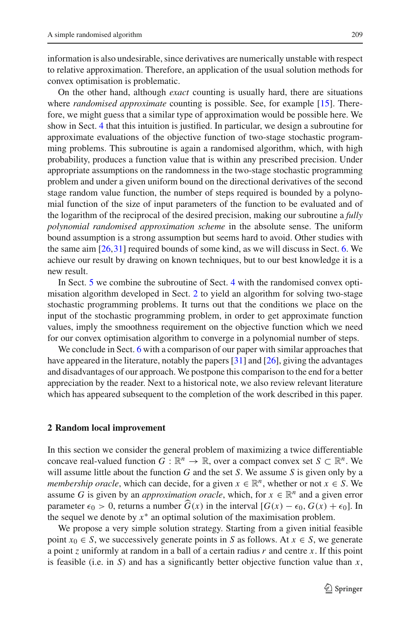information is also undesirable, since derivatives are numerically unstable with respect to relative approximation. Therefore, an application of the usual solution methods for convex optimisation is problematic.

On the other hand, although *exact* counting is usually hard, there are situations where *randomised approximate* counting is possible. See, for example [\[15\]](#page-22-2). Therefore, we might guess that a similar type of approximation would be possible here. We show in Sect. [4](#page-9-0) that this intuition is justified. In particular, we design a subroutine for approximate evaluations of the objective function of two-stage stochastic programming problems. This subroutine is again a randomised algorithm, which, with high probability, produces a function value that is within any prescribed precision. Under appropriate assumptions on the randomness in the two-stage stochastic programming problem and under a given uniform bound on the directional derivatives of the second stage random value function, the number of steps required is bounded by a polynomial function of the size of input parameters of the function to be evaluated and of the logarithm of the reciprocal of the desired precision, making our subroutine a *fully polynomial randomised approximation scheme* in the absolute sense. The uniform bound assumption is a strong assumption but seems hard to avoid. Other studies with the same aim [\[26](#page-22-3),[31\]](#page-22-4) required bounds of some kind, as we will discuss in Sect. [6.](#page-19-0) We achieve our result by drawing on known techniques, but to our best knowledge it is a new result.

In Sect. [5](#page-14-0) we combine the subroutine of Sect. [4](#page-9-0) with the randomised convex optimisation algorithm developed in Sect. [2](#page-2-0) to yield an algorithm for solving two-stage stochastic programming problems. It turns out that the conditions we place on the input of the stochastic programming problem, in order to get approximate function values, imply the smoothness requirement on the objective function which we need for our convex optimisation algorithm to converge in a polynomial number of steps.

We conclude in Sect. [6](#page-19-0) with a comparison of our paper with similar approaches that have appeared in the literature, notably the papers [\[31](#page-22-4)] and [\[26](#page-22-3)], giving the advantages and disadvantages of our approach. We postpone this comparison to the end for a better appreciation by the reader. Next to a historical note, we also review relevant literature which has appeared subsequent to the completion of the work described in this paper.

#### <span id="page-2-0"></span>**2 Random local improvement**

In this section we consider the general problem of maximizing a twice differentiable concave real-valued function *G* :  $\mathbb{R}^n \to \mathbb{R}$ , over a compact convex set *S*  $\subset \mathbb{R}^n$ . We will assume little about the function *G* and the set *S*. We assume *S* is given only by a *membership oracle*, which can decide, for a given  $x \in \mathbb{R}^n$ , whether or not  $x \in S$ . We assume *G* is given by an *approximation oracle*, which, for  $x \in \mathbb{R}^n$  and a given error parameter  $\epsilon_0 > 0$ , returns a number  $G(x)$  in the interval  $[G(x) - \epsilon_0, G(x) + \epsilon_0]$ . In the sequel we denote by  $x^*$  an optimal solution of the maximisation problem.

We propose a very simple solution strategy. Starting from a given initial feasible point  $x_0 \in S$ , we successively generate points in *S* as follows. At  $x \in S$ , we generate a point *z* uniformly at random in a ball of a certain radius *r* and centre *x*. If this point is feasible (i.e. in *S*) and has a significantly better objective function value than *x*,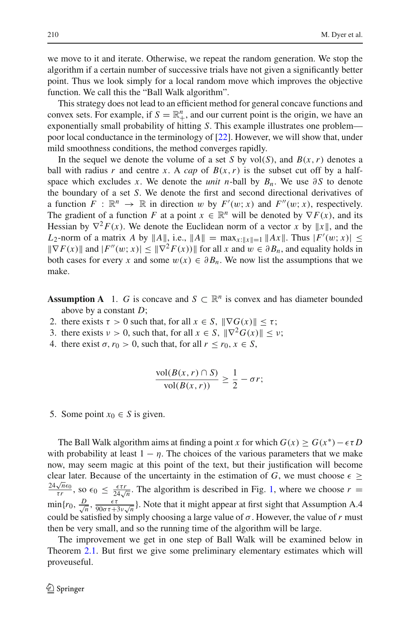we move to it and iterate. Otherwise, we repeat the random generation. We stop the algorithm if a certain number of successive trials have not given a significantly better point. Thus we look simply for a local random move which improves the objective function. We call this the "Ball Walk algorithm".

This strategy does not lead to an efficient method for general concave functions and convex sets. For example, if  $S = \mathbb{R}^n_+$ , and our current point is the origin, we have an exponentially small probability of hitting *S*. This example illustrates one problem poor local conductance in the terminology of [\[22](#page-22-5)]. However, we will show that, under mild smoothness conditions, the method converges rapidly.

In the sequel we denote the volume of a set *S* by vol(*S*), and  $B(x, r)$  denotes a ball with radius *r* and centre *x*. A *cap* of  $B(x, r)$  is the subset cut off by a halfspace which excludes *x*. We denote the *unit n*-ball by  $B_n$ . We use ∂S to denote the boundary of a set *S*. We denote the first and second directional derivatives of a function  $F : \mathbb{R}^n \to \mathbb{R}$  in direction w by  $F'(w; x)$  and  $F''(w; x)$ , respectively. The gradient of a function *F* at a point  $x \in \mathbb{R}^n$  will be denoted by  $\nabla F(x)$ , and its Hessian by  $\nabla^2 F(x)$ . We denote the Euclidean norm of a vector *x* by ||*x*||, and the *L*<sub>2</sub>-norm of a matrix *A* by  $||A||$ , i.e.,  $||A|| = \max_{x:||x||=1} ||Ax||$ . Thus  $|F'(w; x)| \le$  $\|\nabla F(x)\|$  and  $|F''(w; x)| \leq \|\nabla^2 F(x)\|$  for all *x* and  $w \in \partial B_n$ , and equality holds in both cases for every *x* and some  $w(x) \in \partial B_n$ . We now list the assumptions that we make.

**Assumption A** 1. *G* is concave and  $S \subset \mathbb{R}^n$  is convex and has diameter bounded above by a constant *D*;

- 2. there exists  $\tau > 0$  such that, for all  $x \in S$ ,  $\|\nabla G(x)\| \leq \tau$ ;
- 3. there exists  $v > 0$ , such that, for all  $x \in S$ ,  $\|\nabla^2 G(x)\| \leq v$ ;
- 4. there exist  $\sigma$ ,  $r_0 > 0$ , such that, for all  $r \le r_0, x \in S$ ,

$$
\frac{\text{vol}(B(x,r) \cap S)}{\text{vol}(B(x,r))} \ge \frac{1}{2} - \sigma r;
$$

5. Some point  $x_0 \in S$  is given.

The Ball Walk algorithm aims at finding a point *x* for which  $G(x) \ge G(x^*) - \epsilon \tau D$ with probability at least  $1 - \eta$ . The choices of the various parameters that we make now, may seem magic at this point of the text, but their justification will become clear later. Because of the uncertainty in the estimation of *G*, we must choose  $\epsilon \geq$  $\frac{24\sqrt{n}\epsilon_0}{\tau r}$ , so  $\epsilon_0$  ≤  $\frac{\epsilon\tau r}{24\sqrt{n}}$ . The algorithm is described in Fig. [1,](#page-4-0) where we choose *r* =  $\min\{r_0, \frac{D}{\sqrt{n}}, \frac{\epsilon\tau}{90\sigma\tau+3\nu\sqrt{n}}\}$ . Note that it might appear at first sight that Assumption A.4 could be satisfied by simply choosing a large value of  $\sigma$ . However, the value of r must then be very small, and so the running time of the algorithm will be large.

The improvement we get in one step of Ball Walk will be examined below in Theorem [2.1.](#page-4-1) But first we give some preliminary elementary estimates which will proveuseful.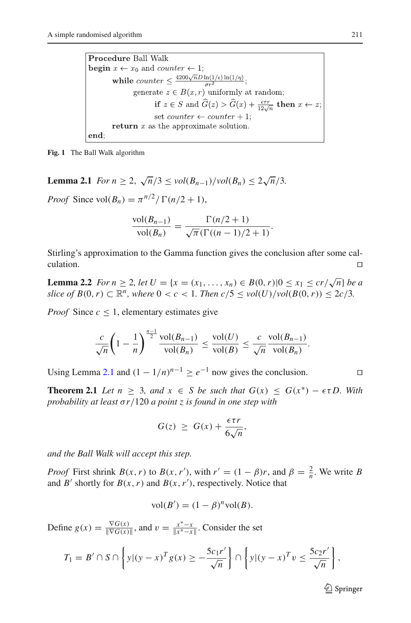**Procedure Ball Walk begin**  $x \leftarrow x_0$  and *counter*  $\leftarrow 1$ ; while counter  $\leq \frac{4200\sqrt{n}D\ln(1/\epsilon)\ln(1/\eta)}{\sigma r^2};$ generate  $z \in B(x,r)$  uniformly at random; if  $z \in S$  and  $\widehat{G}(z) > \widehat{G}(x) + \frac{\epsilon \tau r}{12\sqrt{n}}$  then  $x \leftarrow z$ ; set counter  $\leftarrow$  counter  $+1$ ; return  $x$  as the approximate solution. end;

<span id="page-4-0"></span>**Fig. 1** The Ball Walk algorithm

<span id="page-4-2"></span>**Lemma 2.1** *For n*  $\geq 2$ ,  $\sqrt{n}/3 \le vol(B_{n-1})/vol(B_n) \le 2\sqrt{n}/3$ .

*Proof* Since  $vol(B_n) = \pi^{n/2}/\Gamma(n/2 + 1)$ ,

$$
\frac{\text{vol}(B_{n-1})}{\text{vol}(B_n)} = \frac{\Gamma(n/2+1)}{\sqrt{\pi}(\Gamma((n-1)/2+1)}.
$$

Stirling's approximation to the Gamma function gives the conclusion after some calculation.  $\Box$ 

<span id="page-4-3"></span>**Lemma 2.2** *For n*  $\geq$  2*, let*  $U = \{x = (x_1, ..., x_n) \in B(0, r) | 0 \leq x_1 \leq \frac{cr}{\sqrt{n}} \}$  *be a slice of*  $B(0, r) \subset \mathbb{R}^n$ , where  $0 < c < 1$ . Then  $c/5 \le vol(U)/vol(B(0, r)) \le 2c/3$ .

*Proof* Since  $c < 1$ , elementary estimates give

$$
\frac{c}{\sqrt{n}}\left(1-\frac{1}{n}\right)^{\frac{n-1}{2}}\frac{\text{vol}(B_{n-1})}{\text{vol}(B_n)}\leq \frac{\text{vol}(U)}{\text{vol}(B)}\leq \frac{c}{\sqrt{n}}\frac{\text{vol}(B_{n-1})}{\text{vol}(B_n)}.
$$

Using Lemma [2.1](#page-4-2) and  $(1 - 1/n)^{n-1} \ge e^{-1}$  now gives the conclusion.

<span id="page-4-1"></span>**Theorem 2.1** *Let*  $n \geq 3$ *, and*  $x \in S$  *be such that*  $G(x) \leq G(x^*) - \epsilon \tau D$ *. With probability at least* σ*r*/120 *a point z is found in one step with*

$$
G(z) \geq G(x) + \frac{\epsilon \tau r}{6\sqrt{n}},
$$

*and the Ball Walk will accept this step.*

*Proof* First shrink *B*(*x*,*r*) to *B*(*x*,*r*<sup>'</sup>), with  $r' = (1 - \beta)r$ , and  $\beta = \frac{2}{n}$ . We write *B* and  $B'$  shortly for  $B(x, r)$  and  $B(x, r')$ , respectively. Notice that

$$
vol(B') = (1 - \beta)^n vol(B).
$$

Define  $g(x) = \frac{\nabla G(x)}{\|\nabla G(x)\|}$ , and  $v = \frac{x^* - x}{\|x^* - x\|}$ . Consider the set

$$
T_1 = B' \cap S \cap \left\{ y | (y - x)^T g(x) \ge -\frac{5c_1 r'}{\sqrt{n}} \right\} \cap \left\{ y | (y - x)^T v \le \frac{5c_2 r'}{\sqrt{n}} \right\},\
$$

 $\mathcal{D}$  Springer

$$
\sqcup
$$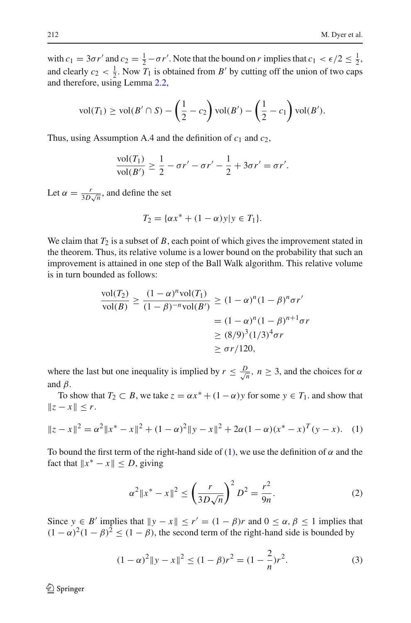with  $c_1 = 3\sigma r'$  and  $c_2 = \frac{1}{2} - \sigma r'$ . Note that the bound on *r* implies that  $c_1 < \epsilon/2 \leq \frac{1}{2}$ , and clearly  $c_2 < \frac{1}{2}$ . Now  $T_1$  is obtained from *B'* by cutting off the union of two caps and therefore, using Lemma [2.2,](#page-4-3)

$$
vol(T_1) \geq vol(B' \cap S) - (\frac{1}{2} - c_2) vol(B') - (\frac{1}{2} - c_1) vol(B').
$$

Thus, using Assumption A.4 and the definition of  $c_1$  and  $c_2$ ,

$$
\frac{\text{vol}(T_1)}{\text{vol}(B')} \ge \frac{1}{2} - \sigma r' - \sigma r' - \frac{1}{2} + 3\sigma r' = \sigma r'.
$$

Let  $\alpha = \frac{r}{3D\sqrt{n}}$ , and define the set

$$
T_2 = \{ \alpha x^* + (1 - \alpha) y | y \in T_1 \}.
$$

We claim that  $T_2$  is a subset of *B*, each point of which gives the improvement stated in the theorem. Thus, its relative volume is a lower bound on the probability that such an improvement is attained in one step of the Ball Walk algorithm. This relative volume is in turn bounded as follows:

$$
\frac{\text{vol}(T_2)}{\text{vol}(B)} \ge \frac{(1-\alpha)^n \text{vol}(T_1)}{(1-\beta)^{-n} \text{vol}(B')} \ge (1-\alpha)^n (1-\beta)^n \sigma r'
$$

$$
= (1-\alpha)^n (1-\beta)^{n+1} \sigma r
$$

$$
\ge (8/9)^3 (1/3)^4 \sigma r
$$

$$
\ge \sigma r/120,
$$

where the last but one inequality is implied by  $r \leq \frac{D}{\sqrt{n}}$ ,  $n \geq 3$ , and the choices for  $\alpha$ and  $\beta$ .

To show that  $T_2 \subset B$ , we take  $z = \alpha x^* + (1 - \alpha)y$  for some  $y \in T_1$ . and show that  $||z - x|| \leq r$ .

<span id="page-5-0"></span>
$$
||z - x||^2 = \alpha^2 ||x^* - x||^2 + (1 - \alpha)^2 ||y - x||^2 + 2\alpha (1 - \alpha)(x^* - x)^T (y - x).
$$
 (1)

To bound the first term of the right-hand side of [\(1\)](#page-5-0), we use the definition of  $\alpha$  and the fact that  $||x^* - x|| \le D$ , giving

$$
\alpha^2 \|x^* - x\|^2 \le \left(\frac{r}{3D\sqrt{n}}\right)^2 D^2 = \frac{r^2}{9n}.
$$
 (2)

<span id="page-5-2"></span><span id="page-5-1"></span>Since  $y \in B'$  implies that  $\|y - x\| \le r' = (1 - \beta)r$  and  $0 \le \alpha, \beta \le 1$  implies that  $(1 - \alpha)^2 (1 - \beta)^2 \le (1 - \beta)$ , the second term of the right-hand side is bounded by

$$
(1 - \alpha)^2 \|y - x\|^2 \le (1 - \beta)r^2 = (1 - \frac{2}{n})r^2.
$$
 (3)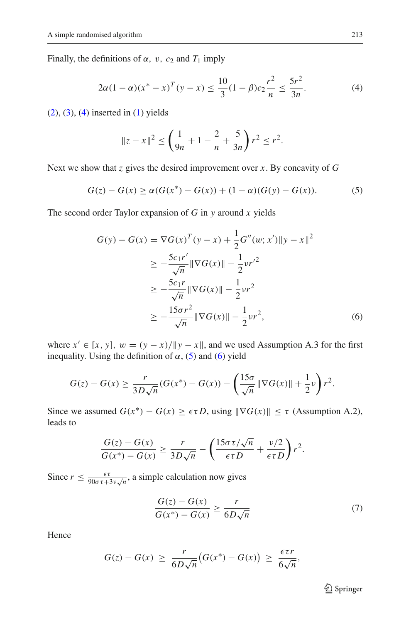Finally, the definitions of  $\alpha$ ,  $v$ ,  $c_2$  and  $T_1$  imply

$$
2\alpha (1 - \alpha)(x^* - x)^T (y - x) \le \frac{10}{3} (1 - \beta)c_2 \frac{r^2}{n} \le \frac{5r^2}{3n}.
$$
 (4)

<span id="page-6-0"></span> $(2)$ ,  $(3)$ ,  $(4)$  inserted in  $(1)$  yields

$$
||z - x||^2 \le \left(\frac{1}{9n} + 1 - \frac{2}{n} + \frac{5}{3n}\right)r^2 \le r^2.
$$

<span id="page-6-1"></span>Next we show that *z* gives the desired improvement over *x*. By concavity of *G*

$$
G(z) - G(x) \ge \alpha (G(x^*) - G(x)) + (1 - \alpha)(G(y) - G(x)).
$$
 (5)

<span id="page-6-2"></span>The second order Taylor expansion of *G* in *y* around *x* yields

$$
G(y) - G(x) = \nabla G(x)^T (y - x) + \frac{1}{2} G''(w; x') \|y - x\|^2
$$
  
\n
$$
\ge -\frac{5c_1 r'}{\sqrt{n}} \|\nabla G(x)\| - \frac{1}{2} v r'^2
$$
  
\n
$$
\ge -\frac{5c_1 r}{\sqrt{n}} \|\nabla G(x)\| - \frac{1}{2} v r^2
$$
  
\n
$$
\ge -\frac{15\sigma r^2}{\sqrt{n}} \|\nabla G(x)\| - \frac{1}{2} v r^2,
$$
 (6)

where  $x' \in [x, y]$ ,  $w = (y - x)/||y - x||$ , and we used Assumption A.3 for the first inequality. Using the definition of  $\alpha$ , [\(5\)](#page-6-1) and [\(6\)](#page-6-2) yield

$$
G(z) - G(x) \ge \frac{r}{3D\sqrt{n}}(G(x^*) - G(x)) - \left(\frac{15\sigma}{\sqrt{n}}\|\nabla G(x)\| + \frac{1}{2}\nu\right)r^2.
$$

Since we assumed  $G(x^*) - G(x) \geq \epsilon \tau D$ , using  $\|\nabla G(x)\| \leq \tau$  (Assumption A.2), leads to

$$
\frac{G(z) - G(x)}{G(x^*) - G(x)} \ge \frac{r}{3D\sqrt{n}} - \left(\frac{15\sigma\tau/\sqrt{n}}{\epsilon\tau D} + \frac{\nu/2}{\epsilon\tau D}\right)r^2.
$$

Since  $r \leq \frac{\epsilon \tau}{90\sigma \tau + 3\nu \sqrt{n}}$ , a simple calculation now gives

$$
\frac{G(z) - G(x)}{G(x^*) - G(x)} \ge \frac{r}{6D\sqrt{n}}\tag{7}
$$

<span id="page-6-3"></span>Hence

$$
G(z) - G(x) \ge \frac{r}{6D\sqrt{n}} \big( G(x^*) - G(x) \big) \ge \frac{\epsilon \tau r}{6\sqrt{n}},
$$

<sup>2</sup> Springer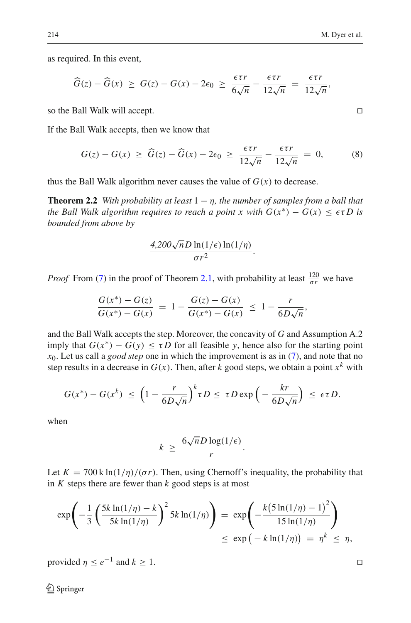as required. In this event,

$$
\widehat{G}(z) - \widehat{G}(x) \geq G(z) - G(x) - 2\epsilon_0 \geq \frac{\epsilon \tau r}{6\sqrt{n}} - \frac{\epsilon \tau r}{12\sqrt{n}} = \frac{\epsilon \tau r}{12\sqrt{n}},
$$

so the Ball Walk will accept.

If the Ball Walk accepts, then we know that

$$
G(z) - G(x) \ge \widehat{G}(z) - \widehat{G}(x) - 2\epsilon_0 \ge \frac{\epsilon \tau r}{12\sqrt{n}} - \frac{\epsilon \tau r}{12\sqrt{n}} = 0, \quad (8)
$$

<span id="page-7-0"></span>thus the Ball Walk algorithm never causes the value of  $G(x)$  to decrease.

**Theorem 2.2** *With probability at least*  $1 - \eta$ *, the number of samples from a ball that the Ball Walk algorithm requires to reach a point x with*  $G(x^*) - G(x) \leq \epsilon \tau D$  is *bounded from above by*

$$
\frac{4,200\sqrt{n}D\ln(1/\epsilon)\ln(1/\eta)}{\sigma r^2}.
$$

*Proof* From [\(7\)](#page-6-3) in the proof of Theorem [2.1,](#page-4-1) with probability at least  $\frac{120}{\sigma r}$  we have

$$
\frac{G(x^*) - G(z)}{G(x^*) - G(x)} = 1 - \frac{G(z) - G(x)}{G(x^*) - G(x)} \le 1 - \frac{r}{6D\sqrt{n}},
$$

and the Ball Walk accepts the step. Moreover, the concavity of *G* and Assumption A.2 imply that  $G(x^*) - G(y) \leq \tau D$  for all feasible *y*, hence also for the starting point *x*0. Let us call a *good step* one in which the improvement is as in [\(7\)](#page-6-3), and note that no step results in a decrease in *G*(*x*). Then, after *k* good steps, we obtain a point *x<sup>k</sup>* with he improvement<br>after *k* good step<br> $\tau D \leq \tau D \exp \left(\frac{\tau}{2}\right)$ 

$$
G(x^*) - G(x^k) \le \left(1 - \frac{r}{6D\sqrt{n}}\right)^k \tau D \le \tau D \exp\left(-\frac{kr}{6D\sqrt{n}}\right) \le \epsilon \tau D.
$$

when

$$
k \ge \frac{6\sqrt{n}D\log(1/\epsilon)}{r}.
$$

in *K* steps there are fewer than *k* good steps is at most

Let 
$$
K = 700 \text{ k} \ln(1/\eta)/(\sigma r)
$$
. Then, using Chernoff's inequality, the probability that  
\nin K steps there are fewer than k good steps is at most  
\n
$$
\exp\left(-\frac{1}{3}\left(\frac{5k \ln(1/\eta) - k}{5k \ln(1/\eta)}\right)^2 5k \ln(1/\eta)\right) = \exp\left(-\frac{k(5 \ln(1/\eta) - 1)^2}{15 \ln(1/\eta)}\right)
$$
\n
$$
\leq \exp\left(-k \ln(1/\eta)\right) = \eta^k \leq \eta,
$$

provided  $\eta \le e^{-1}$  and  $k \ge 1$ .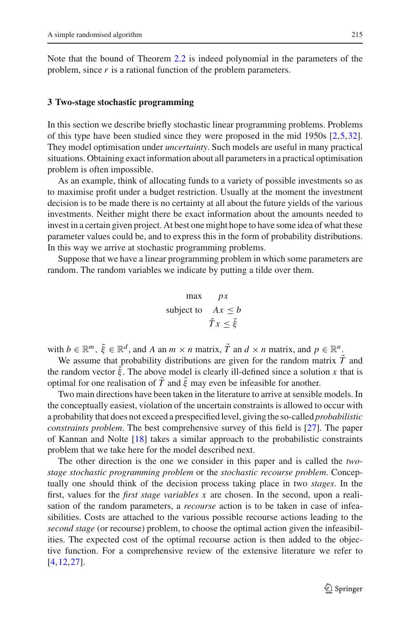Note that the bound of Theorem [2.2](#page-7-0) is indeed polynomial in the parameters of the problem, since *r* is a rational function of the problem parameters.

#### <span id="page-8-0"></span>**3 Two-stage stochastic programming**

In this section we describe briefly stochastic linear programming problems. Problems of this type have been studied since they were proposed in the mid 1950s [\[2](#page-21-1)[,5](#page-21-2)[,32](#page-22-1)]. They model optimisation under *uncertainty*. Such models are useful in many practical situations. Obtaining exact information about all parameters in a practical optimisation problem is often impossible.

As an example, think of allocating funds to a variety of possible investments so as to maximise profit under a budget restriction. Usually at the moment the investment decision is to be made there is no certainty at all about the future yields of the various investments. Neither might there be exact information about the amounts needed to invest in a certain given project. At best one might hope to have some idea of what these parameter values could be, and to express this in the form of probability distributions. In this way we arrive at stochastic programming problems.

Suppose that we have a linear programming problem in which some parameters are random. The random variables we indicate by putting a tilde over them.

$$
\begin{array}{ll}\n\text{max} & px \\
\text{subject to} & Ax \leq b \\
\tilde{T}x \leq \tilde{\xi}\n\end{array}
$$

with  $b \in \mathbb{R}^m$ ,  $\tilde{\xi} \in \mathbb{R}^d$ , and *A* an  $m \times n$  matrix,  $\tilde{T}$  an  $d \times n$  matrix, and  $p \in \mathbb{R}^n$ .

We assume that probability distributions are given for the random matrix  $\tilde{T}$  and the random vector  $\tilde{\xi}$ . The above model is clearly ill-defined since a solution x that is optimal for one realisation of  $\overline{T}$  and  $\overline{\xi}$  may even be infeasible for another.

Two main directions have been taken in the literature to arrive at sensible models. In the conceptually easiest, violation of the uncertain constraints is allowed to occur with a probability that does not exceed a prespecified level, giving the so-called *probabilistic constraints problem*. The best comprehensive survey of this field is [\[27\]](#page-22-6). The paper of Kannan and Nolte [\[18](#page-22-7)] takes a similar approach to the probabilistic constraints problem that we take here for the model described next.

The other direction is the one we consider in this paper and is called the *twostage stochastic programming problem* or the *stochastic recourse problem*. Conceptually one should think of the decision process taking place in two *stages*. In the first, values for the *first stage variables x* are chosen. In the second, upon a realisation of the random parameters, a *recourse* action is to be taken in case of infeasibilities. Costs are attached to the various possible recourse actions leading to the *second stage* (or recourse) problem, to choose the optimal action given the infeasibilities. The expected cost of the optimal recourse action is then added to the objective function. For a comprehensive review of the extensive literature we refer to [\[4](#page-21-4)[,12](#page-21-5),[27](#page-22-6)].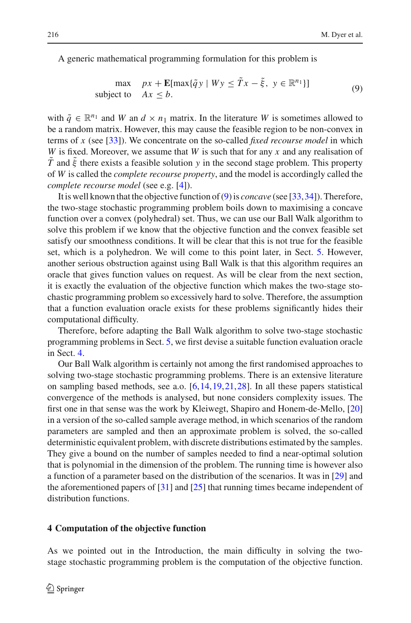A generic mathematical programming formulation for this problem is

$$
\max \quad px + \mathbf{E}[\max\{\tilde{q}y \mid Wy \leq \tilde{T}x - \tilde{\xi}, \ y \in \mathbb{R}^{n_1}\}]
$$
\n
$$
\text{subject to} \quad Ax \leq b. \tag{9}
$$

<span id="page-9-1"></span>with  $\tilde{q} \in \mathbb{R}^{n_1}$  and *W* an  $d \times n_1$  matrix. In the literature *W* is sometimes allowed to be a random matrix. However, this may cause the feasible region to be non-convex in terms of *x* (see [\[33](#page-22-8)]). We concentrate on the so-called *fixed recourse model* in which *W* is fixed. Moreover, we assume that *W* is such that for any *x* and any realisation of *T* and ξ there exists a feasible solution *y* in the second stage problem. This property of *W* is called the *complete recourse property*, and the model is accordingly called the *complete recourse model* (see e.g. [\[4\]](#page-21-4)).

It is well known that the objective function of [\(9\)](#page-9-1) is *concave* (see [\[33](#page-22-8),[34\]](#page-22-9)). Therefore, the two-stage stochastic programming problem boils down to maximising a concave function over a convex (polyhedral) set. Thus, we can use our Ball Walk algorithm to solve this problem if we know that the objective function and the convex feasible set satisfy our smoothness conditions. It will be clear that this is not true for the feasible set, which is a polyhedron. We will come to this point later, in Sect. [5.](#page-14-0) However, another serious obstruction against using Ball Walk is that this algorithm requires an oracle that gives function values on request. As will be clear from the next section, it is exactly the evaluation of the objective function which makes the two-stage stochastic programming problem so excessively hard to solve. Therefore, the assumption that a function evaluation oracle exists for these problems significantly hides their computational difficulty.

Therefore, before adapting the Ball Walk algorithm to solve two-stage stochastic programming problems in Sect. [5,](#page-14-0) we first devise a suitable function evaluation oracle in Sect. [4.](#page-9-0)

Our Ball Walk algorithm is certainly not among the first randomised approaches to solving two-stage stochastic programming problems. There is an extensive literature on sampling based methods, see a.o. [\[6](#page-21-6)[,14](#page-21-7)[,19](#page-22-10),[21,](#page-22-11)[28\]](#page-22-12). In all these papers statistical convergence of the methods is analysed, but none considers complexity issues. The first one in that sense was the work by Kleiwegt, Shapiro and Honem-de-Mello, [\[20\]](#page-22-13) in a version of the so-called sample average method, in which scenarios of the random parameters are sampled and then an approximate problem is solved, the so-called deterministic equivalent problem, with discrete distributions estimated by the samples. They give a bound on the number of samples needed to find a near-optimal solution that is polynomial in the dimension of the problem. The running time is however also a function of a parameter based on the distribution of the scenarios. It was in [\[29](#page-22-14)] and the aforementioned papers of [\[31\]](#page-22-4) and [\[25\]](#page-22-15) that running times became independent of distribution functions.

## <span id="page-9-0"></span>**4 Computation of the objective function**

As we pointed out in the Introduction, the main difficulty in solving the twostage stochastic programming problem is the computation of the objective function.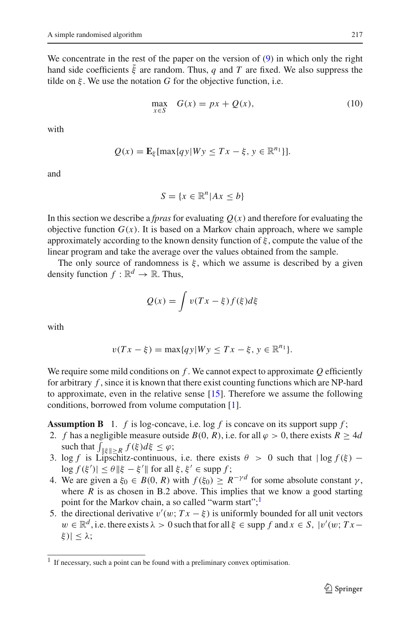We concentrate in the rest of the paper on the version of [\(9\)](#page-9-1) in which only the right hand side coefficients  $\tilde{\xi}$  are random. Thus, *q* and *T* are fixed. We also suppress the tilde on  $\xi$ . We use the notation *G* for the objective function, i.e.

$$
\max_{x \in S} \quad G(x) = px + Q(x),\tag{10}
$$

<span id="page-10-1"></span>with

$$
Q(x) = \mathbf{E}_{\xi}[\max\{qy|Wy \leq Tx - \xi, y \in \mathbb{R}^{n_1}\}].
$$

and

$$
S = \{x \in \mathbb{R}^n | Ax \le b\}
$$

In this section we describe a *fpras* for evaluating  $Q(x)$  and therefore for evaluating the objective function  $G(x)$ . It is based on a Markov chain approach, where we sample approximately according to the known density function of  $\xi$ , compute the value of the linear program and take the average over the values obtained from the sample.

The only source of randomness is  $\xi$ , which we assume is described by a given density function  $f : \mathbb{R}^d \to \mathbb{R}$ . Thus,

$$
Q(x) = \int v(Tx - \xi) f(\xi) d\xi
$$

with

$$
v(Tx-\xi) = \max\{qy|Wy \leq Tx-\xi, y \in \mathbb{R}^{n_1}\}.
$$

We require some mild conditions on *f* . We cannot expect to approximate *Q* efficiently for arbitrary *f* , since it is known that there exist counting functions which are NP-hard to approximate, even in the relative sense [\[15\]](#page-22-2). Therefore we assume the following conditions, borrowed from volume computation [\[1](#page-21-8)].

**Assumption B** 1. *f* is log-concave, i.e. log *f* is concave on its support supp *f*;

- 2. *f* has a negligible measure outside *B*(0, *R*), i.e. for all  $\varphi > 0$ , there exists  $R \geq 4d$ **umption B** 1. *f* is log-concard f has a negligible measure out such that  $\int_{\|\xi\| \ge R} f(\xi) d\xi \le \varphi$ ;
- 3. log *f* is Lipschitz-continuous, i.e. there exists  $\theta > 0$  such that  $|\log f(\xi) \log f(\xi')$  |  $\leq \theta \, \|\xi - \xi'\|$  for all  $\xi, \xi' \in \text{supp } f$ ;
- 4. We are given a  $\xi_0 \in B(0, R)$  with  $f(\xi_0) \geq R^{-\gamma d}$  for some absolute constant  $\gamma$ , where  $R$  is as chosen in B.2 above. This implies that we know a good starting point for the Markov chain, a so called "warm start";  $\frac{1}{2}$
- 5. the directional derivative  $v'(w; Tx \xi)$  is uniformly bounded for all unit vectors  $w \in \mathbb{R}^d$ , i.e. there exists  $\lambda > 0$  such that for all  $\xi \in \text{supp } f$  and  $x \in S$ ,  $|v'(w; Tx$ ξ $|| < λ;$

<span id="page-10-0"></span><sup>&</sup>lt;sup>1</sup> If necessary, such a point can be found with a preliminary convex optimisation.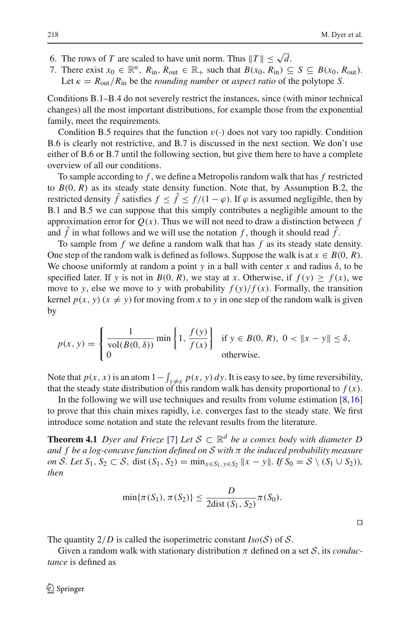- 6. The rows of *T* are scaled to have unit norm. Thus  $||T|| \leq \sqrt{d}$ .
- 7. There exist  $x_0 \in \mathbb{R}^n$ ,  $R_{\text{in}}$ ,  $R_{\text{out}} \in \mathbb{R}_+$  such that  $B(x_0, R_{\text{in}}) \subseteq S \subseteq B(x_0, R_{\text{out}})$ . Let  $\kappa = R_{\text{out}}/R_{\text{in}}$  be the *rounding number* or *aspect ratio* of the polytope *S*.

Conditions B.1–B.4 do not severely restrict the instances, since (with minor technical changes) all the most important distributions, for example those from the exponential family, meet the requirements.

Condition B.5 requires that the function  $v(\cdot)$  does not vary too rapidly. Condition B.6 is clearly not restrictive, and B.7 is discussed in the next section. We don't use either of B.6 or B.7 until the following section, but give them here to have a complete overview of all our conditions.

To sample according to *f* , we define a Metropolis random walk that has *f* restricted to  $B(0, R)$  as its steady state density function. Note that, by Assumption B.2, the restricted density  $\hat{f}$  satisfies  $f \leq \hat{f} \leq f/(1 - \varphi)$ . If  $\varphi$  is assumed negligible, then by B.1 and B.5 we can suppose that this simply contributes a negligible amount to the approximation error for  $Q(x)$ . Thus we will not need to draw a distinction between f and  $\hat{f}$  in what follows and we will use the notation  $f$ , though it should read  $\hat{f}$ .

To sample from *f* we define a random walk that has *f* as its steady state density. One step of the random walk is defined as follows. Suppose the walk is at  $x \in B(0, R)$ . We choose uniformly at random a point *y* in a ball with center *x* and radius  $\delta$ , to be specified later. If *y* is not in *B*(0, *R*), we stay at *x*. Otherwise, if  $f(y) \ge f(x)$ , we move to *y*, else we move to *y* with probability  $f(y)/f(x)$ . Formally, the transition kernel  $p(x, y)$  ( $x \neq y$ ) for moving from *x* to *y* in one step of the random walk is given by  $\overline{a}$ wing from x to  $\left\{\ln \frac{f(y)}{f(x)}\right\}$ 

$$
p(x, y) = \begin{cases} \frac{1}{\text{vol}(B(0, \delta))} \min\left\{1, \frac{f(y)}{f(x)}\right\} & \text{if } y \in B(0, R), \ 0 < \|x - y\| \le \delta, \\ 0 & \text{otherwise.} \end{cases}
$$
\nNote that  $p(x, x)$  is an atom  $1 - \int_{y \neq x} p(x, y) dy$ . It is easy to see, by time reversibility,

that the steady state distribution of this random walk has density proportional to  $f(x)$ .

In the following we will use techniques and results from volume estimation  $[8,16]$  $[8,16]$ to prove that this chain mixes rapidly, i.e. converges fast to the steady state. We first introduce some notation and state the relevant results from the literature.

<span id="page-11-0"></span>**Theorem 4.1** *Dyer and Frieze* [\[7\]](#page-21-10) *Let*  $S \subset \mathbb{R}^d$  *be a convex body with diameter D and f be a log-concave function defined on S with* π *the induced probability measure on S. Let*  $S_1$ *,*  $S_2$  ⊂ *S,* dist  $(S_1, S_2) = \min_{x \in S_1, y \in S_2} ||x - y||$ *. If*  $S_0 = S \setminus (S_1 \cup S_2)$ *), then*

$$
\min\{\pi(S_1), \pi(S_2)\} \le \frac{D}{2\text{dist}(S_1, S_2)}\pi(S_0).
$$

The quantity  $2/D$  is called the isoperimetric constant  $Iso(S)$  of S.

Given a random walk with stationary distribution  $\pi$  defined on a set  $S$ , its *conductance* is defined as

 $\Box$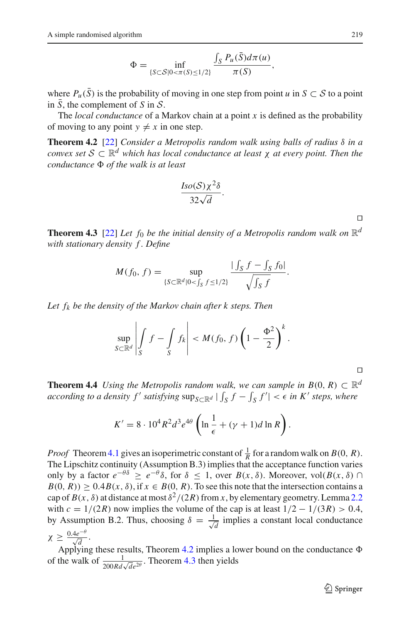$$
\Phi = \inf_{\{S \subset \mathcal{S} | 0 < \pi(S) \le 1/2\}} \frac{\int_S P_u(\bar{S}) d\pi(u)}{\pi(S)},
$$

where  $P_u(\bar{S})$  is the probability of moving in one step from point *u* in  $S \subset S$  to a point in *S*, the complement of *S* in  $S$ .

<span id="page-12-0"></span>The *local conductance* of a Markov chain at a point *x* is defined as the probability of moving to any point  $y \neq x$  in one step.

**Theorem 4.2** [\[22](#page-22-5)] *Consider a Metropolis random walk using balls of radius* δ *in a convex set*  $S \subset \mathbb{R}^d$  *which has local conductance at least*  $\chi$  *at every point. Then the conductance of the walk is at least*

$$
\frac{Iso(\mathcal{S})\chi^2\delta}{32\sqrt{d}}.
$$

 $\Box$ 

<span id="page-12-1"></span>**Theorem 4.3** [\[22](#page-22-5)] *Let f*<sub>0</sub> *be the initial density of a Metropolis random walk on*  $\mathbb{R}^d$ <br> *M*(*f*<sub>0</sub> *f*) – sup  $\frac{| \int_S f - \int_S f_0 |}{\sqrt{|f - f_0^2 + f_0^2|}}$ *with stationary density f . Define*

$$
M(f_0, f) = \sup_{\{S \subset \mathbb{R}^d | 0 < \int_S f \le 1/2\}} \frac{|\int_S f - \int_S f_0|}{\sqrt{\int_S f}}.
$$

*Let fk be the density of the Markov chain after k steps. Then*  $\overline{h}$ 

$$
\sup_{S \subset \mathbb{R}^d} \left| \int_S f - \int_S f_k \right| < M(f_0, f) \left( 1 - \frac{\Phi^2}{2} \right)^k.
$$

 $\Box$ 

<span id="page-12-2"></span>**Theorem 4.4** *Using the Metropolis random walk, we can sample in*  $B(0, R) \subset \mathbb{R}^d$ *according to a density f' satisfying* sup<sub>*S*⊂ $\mathbb{R}^d$ </sub> |  $s$ <sup>*s*</sup> *s sample in B*(0, *R*) ⊂ ℝ<br>  $s$  *f* −  $\int_S f'$  | <  $\epsilon$  *in K' steps, where* 

$$
K' = 8 \cdot 10^4 R^2 d^3 e^{4\theta} \left( \ln \frac{1}{\epsilon} + (\gamma + 1) d \ln R \right).
$$

*Proof* Theorem [4.1](#page-11-0) gives an isoperimetric constant of  $\frac{1}{R}$  for a random walk on *B*(0, *R*). The Lipschitz continuity (Assumption B.3) implies that the acceptance function varies only by a factor  $e^{-\theta \delta} \ge e^{-\theta} \delta$ , for  $\delta \le 1$ , over  $B(x, \delta)$ . Moreover, vol $(B(x, \delta) \cap$  $B(0, R) \ge 0.4B(x, \delta)$ , if  $x \in B(0, R)$ . To see this note that the intersection contains a cap of  $B(x, \delta)$  at distance at most  $\delta^2/(2R)$  from *x*, by elementary geometry. Lemma [2.2](#page-4-3) with  $c = 1/(2R)$  now implies the volume of the cap is at least  $1/2 - 1/(3R) > 0.4$ , by Assumption B.2. Thus, choosing  $\delta = \frac{1}{\sqrt{d}}$  implies a constant local conductance  $\chi \geq \frac{0.4e^{-\theta}}{\sqrt{d}}$ .

Applying these results, Theorem [4.2](#page-12-0) implies a lower bound on the conductance  $\Phi$ of the walk of  $\frac{1}{200Rd\sqrt{de^{2\theta}}}$ . Theorem [4.3](#page-12-1) then yields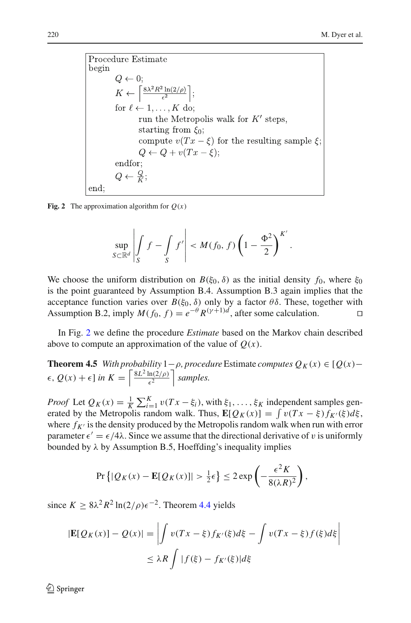Proceedure Estimate

\nbegin

\nbegin

\nbegin

\nbegin

\nbegin

\nbegin

\nbegin

\n A 
$$
Q \leftarrow 0
$$
;

\n K ←  $\left[\frac{8\lambda^2 R^2 \ln(2/\rho)}{\epsilon^2}\right]$ ;

\nfor  $l \leftarrow 1, \ldots, K$  do;

\n run the Metropolis walk for  $K'$  steps,

\n starting from  $ξ_0$ ;

\n compute  $v(Tx - ξ)$  for the resulting sample  $ξ$ ;

\n  $Q \leftarrow Q + v(Tx - ξ)$ ;

\n endfor;

\n  $Q \leftarrow \frac{Q}{K}$ ;

\n end:

\nend:

\nend:

\nend:

\nend:

\nend:

\nend:

\nend:

\nend:

\nend:

\nend:

\nend:

\nend:

\nend:

\nend:

\nend:

\nend:

\nend:

\nend:

\nend:

\nend:

\nend:

\nend:

\nend:

\nend:

\nend:

\nend:

\nend:

\nend:

\nend:

\nend:

\nend:

\nend:

\nend:

\nend:

\nend:

\nend:

\nend:

\nend:

\nend:

\nend:

\nend:

\nend:

\nend:

\nend:

\nend:

\nend:

\nend:

\nend:

\nend:

\nend:

\nend:

\nend:

\nend:

\nend:

\nend:

\nend:

\nend:

\nend:

\nend:

\nend:

\nend:

\nend:

\nend:

\nend:

\nend:

\nend:

\nend:

\nend:

\nend:

\nend

<span id="page-13-0"></span>**Fig. 2** The approximation algorithm for  $Q(x)$ ľ

j

$$
\sup_{S \subset \mathbb{R}^d} \left| \int_S f - \int_S f' \right| < M(f_0, f) \left( 1 - \frac{\Phi^2}{2} \right)^{K'}.
$$

I

We choose the uniform distribution on  $B(\xi_0, \delta)$  as the initial density  $f_0$ , where  $\xi_0$ is the point guaranteed by Assumption B.4. Assumption B.3 again implies that the acceptance function varies over  $B(\xi_0, \delta)$  only by a factor  $\theta\delta$ . These, together with Assumption B.2, imply  $M(f_0, f) = e^{-\theta} R^{(\gamma+1)d}$ , after some calculation.

<span id="page-13-1"></span>In Fig. [2](#page-13-0) we define the procedure *Estimate* based on the Markov chain described above to compute an approximation of the value of  $Q(x)$ .

**Theorem 4.5** *With probability*  $1 - \rho$ *, procedure* Estimate *computes*  $Q_K(x) \in [Q(x) \epsilon$ ,  $Q(x) + \epsilon$ ] in  $K = \left[\frac{8L^2 \ln(2/\rho)}{c^2}\right]$  $\epsilon^2$  *samples.* rab

*Proof* Let  $Q_K(x) = \frac{1}{K}$  $K_{i=1}^{K} v(Tx - \xi_i)$ , with  $\xi_1, \ldots, \xi_K$  independent samples gen- $\epsilon$ ,  $Q(x) + \epsilon$  in  $K = \left| \frac{8L^2 \ln(2/\rho)}{\epsilon^2} \right|$  samples.<br> *Proof* Let  $Q_K(x) = \frac{1}{K} \sum_{i=1}^{K} v(Tx - \xi_i)$ , with  $\xi_1, ..., \xi_K$  independent samples generated by the Metropolis random walk. Thus,  $\mathbf{E}[Q_K(x)] = \int v(Tx - \xi) f_{K'}(\xi) d\xi$ , where  $f_{K'}$  is the density produced by the Metropolis random walk when run with error parameter  $\epsilon' = \epsilon/4\lambda$ . Since we assume that the directional derivative of v is uniformly bounded by  $\lambda$  by Assumption B.5, Hoeffding's inequality implies =  $\epsilon$ /4 $\lambda$ . Since we assume that the directional<br>
by Assumption B.5, Hoeffding's inequality<br>
Pr { $|Q_K(x) - \mathbf{E}[Q_K(x)]| > \frac{1}{2}\epsilon$ }  $\leq 2 \exp$ 

$$
\Pr\left\{|\mathcal{Q}_K(x)-\mathbf{E}[\mathcal{Q}_K(x)]| > \frac{1}{2}\epsilon\right\} \leq 2\exp\left(-\frac{\epsilon^2 K}{8(\lambda R)^2}\right),
$$

since  $K \geq 8\lambda^2 R^2 \ln(2/\rho) \epsilon^{-2}$ . Theorem [4.4](#page-12-2) yields  $\overline{\phantom{a}}$ 

$$
|\mathbf{E}[Q_K(x)] - Q(x)| = \left| \int v(Tx - \xi) f_{K'}(\xi) d\xi - \int v(Tx - \xi) f(\xi) d\xi \right|
$$
  

$$
\leq \lambda R \int |f(\xi) - f_{K'}(\xi)| d\xi
$$

 $\mathcal{L}$  Springer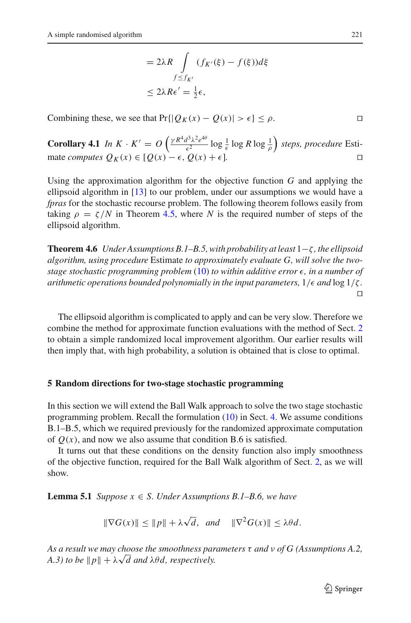$$
= 2\lambda R \int_{f \le f_{K'}} (f_{K'}(\xi) - f(\xi))d\xi
$$
  

$$
\le 2\lambda R\epsilon' = \frac{1}{2}\epsilon,
$$

Combining these, we see that  $Pr\{|Q_K(x) - Q(x)| > \epsilon\} \le \rho$ .

**Corollary 4.1** *In*  $K \cdot K' = O\left(\frac{\gamma R^4 d^3 \lambda^2 e^{4\theta}}{c^2}\right)$  $\frac{d^3 \lambda^2 e^{40}}{\epsilon^2} \log \frac{1}{\epsilon} \log R \log \frac{1}{\rho}$  *steps, procedure* Estimate *computes*  $Q_K(x) \in [Q(x) - \epsilon, Q(x) + \epsilon]$ ]*.*

Using the approximation algorithm for the objective function *G* and applying the ellipsoid algorithm in [\[13\]](#page-21-0) to our problem, under our assumptions we would have a *fpras* for the stochastic recourse problem. The following theorem follows easily from taking  $\rho = \zeta/N$  in Theorem [4.5,](#page-13-1) where N is the required number of steps of the ellipsoid algorithm.

<span id="page-14-1"></span>**Theorem 4.6** *Under Assumptions B.1–B.5, with probability at least* 1−ζ *, the ellipsoid algorithm, using procedure* Estimate *to approximately evaluate G, will solve the twostage stochastic programming problem* [\(10\)](#page-10-1) *to within additive error* -*, in a number of arithmetic operations bounded polynomially in the input parameters,*  $1/\epsilon$  *and*  $\log 1/\zeta$  *.*  $\Box$ 

The ellipsoid algorithm is complicated to apply and can be very slow. Therefore we combine the method for approximate function evaluations with the method of Sect. [2](#page-2-0) to obtain a simple randomized local improvement algorithm. Our earlier results will then imply that, with high probability, a solution is obtained that is close to optimal.

#### <span id="page-14-0"></span>**5 Random directions for two-stage stochastic programming**

In this section we will extend the Ball Walk approach to solve the two stage stochastic programming problem. Recall the formulation  $(10)$  in Sect. [4.](#page-9-0) We assume conditions B.1–B.5, which we required previously for the randomized approximate computation of  $O(x)$ , and now we also assume that condition B.6 is satisfied.

<span id="page-14-2"></span>It turns out that these conditions on the density function also imply smoothness of the objective function, required for the Ball Walk algorithm of Sect. [2,](#page-2-0) as we will show.

**Lemma 5.1** *Suppose*  $x \in S$ *. Under Assumptions B.1–B.6, we have* 

$$
\|\nabla G(x)\| \le \|p\| + \lambda \sqrt{d}, \text{ and } \|\nabla^2 G(x)\| \le \lambda \theta d.
$$

*As a result we may choose the smoothness parameters* τ *and* ν *of G (Assumptions A.2, As a result we may choose the smoothness par*<br>*A.3) to be* ∥*p*∥ + λ√d and λθd, respectively.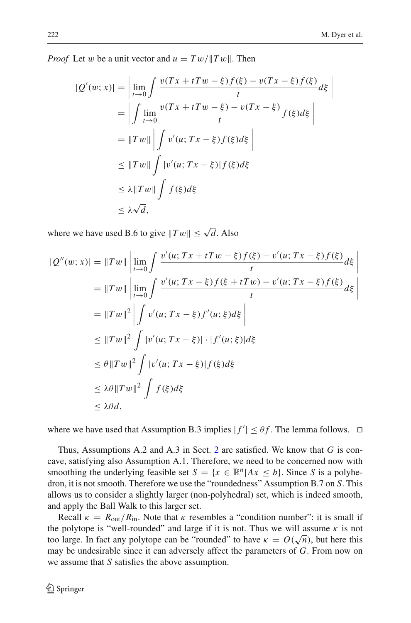j

*Proof* Let w be a unit vector and  $u = Tw / \|Tw\|$ . Then Ī

Ī

$$
|Q'(w;x)| = \left| \lim_{t \to 0} \int \frac{v(Tx + tTw - \xi)f(\xi) - v(Tx - \xi)f(\xi)}{t} d\xi \right|
$$
  
\n
$$
= \left| \int \lim_{t \to 0} \frac{v(Tx + tTw - \xi) - v(Tx - \xi)}{t} f(\xi) d\xi \right|
$$
  
\n
$$
= ||Tw|| \left| \int v'(u; Tx - \xi)f(\xi) d\xi \right|
$$
  
\n
$$
\leq ||Tw|| \int |v'(u; Tx - \xi)| f(\xi) d\xi
$$
  
\n
$$
\leq \lambda ||Tw|| \int f(\xi) d\xi
$$
  
\n
$$
\leq \lambda \sqrt{d},
$$

where we have used B.6 to give  $||Tw|| \le \sqrt{d}$ . Also

$$
|Q''(w;x)| = ||Tw|| \left| \lim_{t \to 0} \int \frac{v'(u; Tx + tTw - \xi) f(\xi) - v'(u; Tx - \xi) f(\xi)}{t} d\xi \right|
$$
  
\n
$$
= ||Tw|| \left| \lim_{t \to 0} \int \frac{v'(u; Tx - \xi) f(\xi + tTw) - v'(u; Tx - \xi) f(\xi)}{t} d\xi \right|
$$
  
\n
$$
= ||Tw||^2 \left| \int v'(u; Tx - \xi) f'(u; \xi) d\xi \right|
$$
  
\n
$$
\leq ||Tw||^2 \int |v'(u; Tx - \xi)| \cdot |f'(u; \xi)| d\xi
$$
  
\n
$$
\leq \theta ||Tw||^2 \int |v'(u; Tx - \xi)| f(\xi) d\xi
$$
  
\n
$$
\leq \lambda \theta ||Tw||^2 \int f(\xi) d\xi
$$
  
\n
$$
\leq \lambda \theta d,
$$

where we have used that Assumption B.3 implies  $|f'| \leq \theta f$ . The lemma follows.  $\Box$ 

Thus, Assumptions A.2 and A.3 in Sect. [2](#page-2-0) are satisfied. We know that *G* is concave, satisfying also Assumption A.1. Therefore, we need to be concerned now with smoothing the underlying feasible set  $S = \{x \in \mathbb{R}^n | Ax \leq b\}$ . Since *S* is a polyhedron, it is not smooth. Therefore we use the "roundedness" Assumption B.7 on *S*. This allows us to consider a slightly larger (non-polyhedral) set, which is indeed smooth, and apply the Ball Walk to this larger set.

Recall  $\kappa = R_{\text{out}}/R_{\text{in}}$ . Note that  $\kappa$  resembles a "condition number": it is small if the polytope is "well-rounded" and large if it is not. Thus we will assume  $\kappa$  is not the polytope is wen-rounded and large if it is not. Thus we will assume k is not<br>too large. In fact any polytope can be "rounded" to have  $\kappa = O(\sqrt{n})$ , but here this may be undesirable since it can adversely affect the parameters of *G*. From now on we assume that *S* satisfies the above assumption.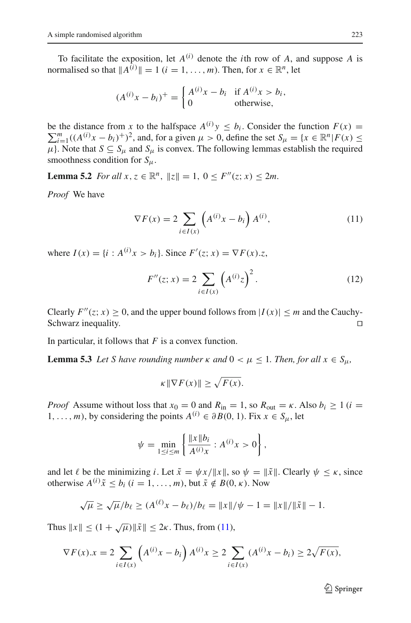To facilitate the exposition, let  $A^{(i)}$  denote the *i*th row of *A*, and suppose *A* is normalised so that  $||A^{(i)}|| = 1$  ( $i = 1, ..., m$ ). Then, for  $x \in \mathbb{R}^n$ , let

$$
(A^{(i)}x - b_i)^+ = \begin{cases} A^{(i)}x - b_i & \text{if } A^{(i)}x > b_i, \\ 0 & \text{otherwise,} \end{cases}
$$

be the distance from *x* to the halfspace  $A^{(i)}y \leq b_i$ . Consider the function  $F(x) = \sum_{i=1}^{m} (A^{(i)}x - b_i)^{+1}$  and for a given  $u > 0$  define the set  $S = \{x \in \mathbb{R}^n | E(x) \leq \theta\}$  $\sum_{i=1}^{m} ((A^{(i)}x - b_i)^+)^2$ , and, for a given  $\mu > 0$ , define the set  $S_{\mu} = \{x \in \mathbb{R}^n | F(x) \leq \mu\}$  $\mu$ . Note that  $S \subseteq S_\mu$  and  $S_\mu$  is convex. The following lemmas establish the required smoothness condition for *S*μ.

<span id="page-16-1"></span>**Lemma 5.2** *For all*  $x, z \in \mathbb{R}^n$ ,  $||z|| = 1$ ,  $0 \le F''(z; x) \le 2m$ .

<span id="page-16-0"></span>*Proof* We have

$$
\zeta \in \mathbb{R}
$$
,  $||\zeta|| = 1$ ,  $0 \leq F(\zeta, x) \leq 2m$ .  

$$
\nabla F(x) = 2 \sum_{i \in I(x)} \left( A^{(i)} x - b_i \right) A^{(i)}, \tag{11}
$$

where  $I(x) = \{i : A^{(i)}x > b_i\}$ . Since  $F'(z; x) = \nabla F(x).z$ ,

*b<sub>i</sub>*}. Since 
$$
F'(z; x) = \nabla F(x) \cdot z
$$
,  
\n
$$
F''(z; x) = 2 \sum_{i \in I(x)} \left( A^{(i)} z \right)^2.
$$
\n(12)

Clearly  $F''(z; x) > 0$ , and the upper bound follows from  $|I(x)| \le m$  and the Cauchy-Schwarz inequality.

<span id="page-16-2"></span>In particular, it follows that *F* is a convex function.

**Lemma 5.3** *Let S have rounding number*  $\kappa$  *and*  $0 < \mu \leq 1$ *. Then, for all*  $x \in S_{\mu}$ *,* 

is a convex function.  
ing number 
$$
\kappa
$$
 and  $0 < \kappa$   
 $\|\nabla F(x)\| \ge \sqrt{F(x)}$ .

*Proof* Assume without loss that  $x_0 = 0$  and  $R_{\text{in}} = 1$ , so  $R_{\text{out}} = \kappa$ . Also  $b_i \ge 1$  (*i* = 1,..., *m*), by considering the points  $A^{(i)} \in \partial B(0, 1)$ . Fix  $x \in S_u$ , let

$$
\psi = \min_{1 \le i \le m} \left\{ \frac{\|x\| b_i}{A^{(i)} x} : A^{(i)} x > 0 \right\},\,
$$

and let  $\ell$  be the minimizing *i*. Let  $\tilde{x} = \psi x / ||x||$ , so  $\psi = ||\tilde{x}||$ . Clearly  $\psi \le \kappa$ , since otherwise  $A^{(i)}\tilde{x} \le b_i$   $(i = 1, ..., m)$ , but  $\tilde{x} \notin B(0, \kappa)$ . Now

$$
\sqrt{\mu} \ge \sqrt{\mu}/b_{\ell} \ge (A^{(\ell)}x - b_{\ell})/b_{\ell} = ||x||/\psi - 1 = ||x||/||\tilde{x}|| - 1.
$$

Thus 
$$
||x|| \le (1 + \sqrt{\mu}) ||\tilde{x}|| \le 2\kappa
$$
. Thus, from (11),  
\n
$$
\nabla F(x).x = 2 \sum_{i \in I(x)} \left( A^{(i)} x - b_i \right) A^{(i)} x \ge 2 \sum_{i \in I(x)} (A^{(i)} x - b_i) \ge 2\sqrt{F(x)},
$$

 $\mathcal{D}$  Springer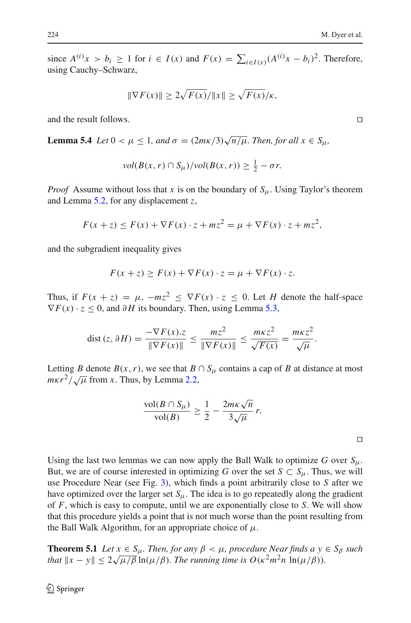224<br>
since *A*<sup>(*i*</sup>) *x* > *b<sub>i</sub>* ≥ 1 for *i* ∈ *I*(*x*) and *F*(*x*) =  $\sum_{i \in I(x)} (A^{(i)}x - b_i)^2$ . Therefore,<br>
using Cauchy–Schwarz,<br>  $||\nabla F(x)|| \ge 2\sqrt{F(x)}/||x||} \ge \sqrt{F(x)}/\kappa$ , using Cauchy–Schwarz,

$$
\|\nabla F(x)\| \ge 2\sqrt{F(x)}/\|x\| \ge \sqrt{F(x)}/\kappa,
$$

and the result follows.

<span id="page-17-0"></span>**Lemma 5.4** *Let*  $0 < \mu \leq 1$ *, and*  $\sigma = (2m\kappa/3)\sqrt{n/\mu}$ *. Then, for all*  $x \in S_{\mu}$ *,* 

$$
vol(B(x, r) \cap S_{\mu})/vol(B(x, r)) \geq \frac{1}{2} - \sigma r.
$$

*Proof* Assume without loss that *x* is on the boundary of  $S_{\mu}$ . Using Taylor's theorem and Lemma [5.2,](#page-16-1) for any displacement *z*,

$$
F(x+z) \le F(x) + \nabla F(x) \cdot z + mz^2 = \mu + \nabla F(x) \cdot z + mz^2,
$$

and the subgradient inequality gives

$$
F(x+z) \ge F(x) + \nabla F(x) \cdot z = \mu + \nabla F(x) \cdot z.
$$

Thus, if  $F(x + z) = \mu$ ,  $-mz^2 \le \nabla F(x) \cdot z \le 0$ . Let *H* denote the half-space  $\nabla F(x) \cdot z \leq 0$ , and  $\partial H$  its boundary. Then, using Lemma [5.3,](#page-16-2)

$$
\operatorname{dist}(z, \partial H) = \frac{-\nabla F(x).z}{\|\nabla F(x)\|} \le \frac{mz^2}{\|\nabla F(x)\|} \le \frac{m\kappa z^2}{\sqrt{F(x)}} = \frac{m\kappa z^2}{\sqrt{\mu}}.
$$

Letting *B* denote  $B(x, r)$ , we see that  $B \cap S_\mu$  contains a cap of *B* at distance at most *m* $\kappa r^2 / \sqrt{\mu}$  from *x*. Thus, by Lemma [2.2,](#page-4-3)

$$
\frac{\text{vol}(B \cap S_{\mu})}{\text{vol}(B)} \ge \frac{1}{2} - \frac{2m\kappa\sqrt{n}}{3\sqrt{\mu}} r.
$$

Using the last two lemmas we can now apply the Ball Walk to optimize  $G$  over  $S_\mu$ . But, we are of course interested in optimizing *G* over the set  $S \subset S_{\mu}$ . Thus, we will use Procedure Near (see Fig. [3\)](#page-18-0), which finds a point arbitrarily close to *S* after we have optimized over the larger set  $S_{\mu}$ . The idea is to go repeatedly along the gradient of *F*, which is easy to compute, until we are exponentially close to *S*. We will show that this procedure yields a point that is not much worse than the point resulting from the Ball Walk Algorithm, for an appropriate choice of  $\mu$ .

<span id="page-17-1"></span>**Theorem 5.1** *Let*  $x \in S_u$ *. Then, for any*  $\beta < \mu$ *, procedure Near finds a*  $y \in S_\beta$  *such theorem 5.1 Let*  $x \in S_\mu$ *. Then, for any*  $p < \mu$ *, procedure ivear jinds a y* that  $||x - y|| \leq 2\sqrt{\mu/\beta} \ln(\mu/\beta)$ . The running time is  $O(\kappa^2 m^2 n \ln(\mu/\beta))$ .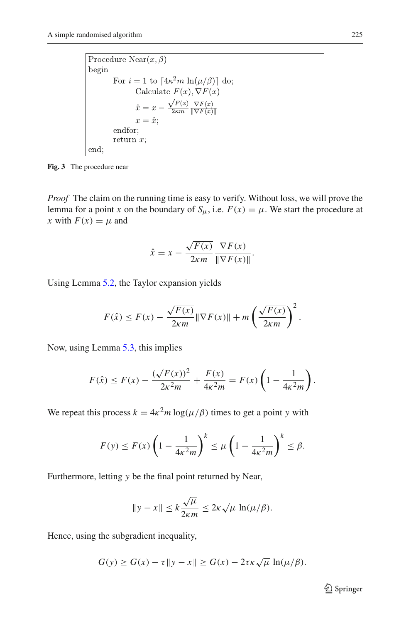Procedure Near $(x, \beta)$ begin For  $i = 1$  to  $[4\kappa^2 m \ln(\mu/\beta)]$  do; Calculate  $F(x), \nabla F(x)$  $\hat{x} = x - \frac{\sqrt{F(x)}}{2\kappa m} \frac{\nabla F(x)}{\|\nabla F(x)\|}$  $x = \hat{x}$ ; endfor; return  $x$ ; end:

<span id="page-18-0"></span>**Fig. 3** The procedure near

*Proof* The claim on the running time is easy to verify. Without loss, we will prove the lemma for a point *x* on the boundary of  $S_{\mu}$ , i.e.  $F(x) = \mu$ . We start the procedure at *x* with  $F(x) = \mu$  and

$$
\hat{x} = x - \frac{\sqrt{F(x)}}{2\kappa m} \frac{\nabla F(x)}{\|\nabla F(x)\|}.
$$

Using Lemma [5.2,](#page-16-1) the Taylor expansion yields

$$
F(\hat{x}) \le F(x) - \frac{\sqrt{F(x)}}{2\kappa m} \|\nabla F(x)\| + m \left(\frac{\sqrt{F(x)}}{2\kappa m}\right)^2.
$$

Now, using Lemma [5.3,](#page-16-2) this implies

$$
F(\hat{x}) \le F(x) - \frac{(\sqrt{F(x)})^2}{2\kappa^2 m} + \frac{F(x)}{4\kappa^2 m} = F(x) \left(1 - \frac{1}{4\kappa^2 m}\right).
$$

We repeat this process  $k = 4\kappa^2 m \log(\mu/\beta)$  times to get a point *y* with 

$$
F(y) \le F(x) \left(1 - \frac{1}{4\kappa^2 m}\right)^k \le \mu \left(1 - \frac{1}{4\kappa^2 m}\right)^k \le \beta.
$$

Furthermore, letting *y* be the final point returned by Near,

$$
\|y - x\| \le k \frac{\sqrt{\mu}}{2\kappa m} \le 2\kappa \sqrt{\mu} \ln(\mu/\beta).
$$

Hence, using the subgradient inequality,

$$
G(y) \ge G(x) - \tau ||y - x|| \ge G(x) - 2\tau\kappa\sqrt{\mu} \ln(\mu/\beta).
$$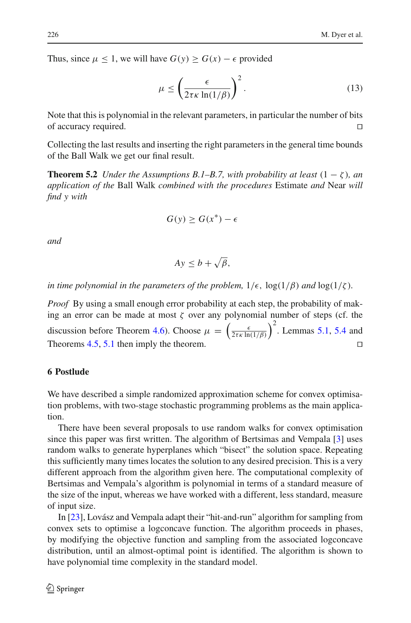Thus, since  $\mu \leq 1$ , we will have  $G(y) \geq G(x) - \epsilon$  provided

Γ

$$
\text{we } G(y) \ge G(x) - \epsilon \text{ provided}
$$
\n
$$
\mu \le \left(\frac{\epsilon}{2\tau \kappa \ln(1/\beta)}\right)^2. \tag{13}
$$

Note that this is polynomial in the relevant parameters, in particular the number of bits of accuracy required.

Collecting the last results and inserting the right parameters in the general time bounds of the Ball Walk we get our final result.

**Theorem 5.2** *Under the Assumptions B.1–B.7, with probability at least*  $(1 - \zeta)$ *, an application of the* Ball Walk *combined with the procedures* Estimate *and* Near *will find y with*

$$
G(y) \ge G(x^*) - \epsilon
$$

*and*

$$
Ay \leq b + \sqrt{\beta},
$$

*in time polynomial in the parameters of the problem,*  $1/\epsilon$ ,  $\log(1/\beta)$  *and*  $\log(1/\zeta)$ *.* 

*Proof* By using a small enough error probability at each step, the probability of making an error can be made at most  $\zeta$  over any polynomial number of steps (cf. the discussion before Theorem [4.6\)](#page-14-1). Choose  $\mu = \begin{pmatrix} \frac{\epsilon}{2\tau\kappa \ln n} \end{pmatrix}$ at each step<br>at each step<br> $\frac{\epsilon}{2\tau\kappa} \frac{\epsilon}{\ln(1/\beta)}$  $^{2}$ . Lemmas [5.1,](#page-14-2) [5.4](#page-17-0) and Theorems [4.5,](#page-13-1) [5.1](#page-17-1) then imply the theorem.

## <span id="page-19-0"></span>**6 Postlude**

We have described a simple randomized approximation scheme for convex optimisation problems, with two-stage stochastic programming problems as the main application.

There have been several proposals to use random walks for convex optimisation since this paper was first written. The algorithm of Bertsimas and Vempala [\[3\]](#page-21-11) uses random walks to generate hyperplanes which "bisect" the solution space. Repeating this sufficiently many times locates the solution to any desired precision. This is a very different approach from the algorithm given here. The computational complexity of Bertsimas and Vempala's algorithm is polynomial in terms of a standard measure of the size of the input, whereas we have worked with a different, less standard, measure of input size.

In [\[23\]](#page-22-17), Lovász and Vempala adapt their "hit-and-run" algorithm for sampling from convex sets to optimise a logconcave function. The algorithm proceeds in phases, by modifying the objective function and sampling from the associated logconcave distribution, until an almost-optimal point is identified. The algorithm is shown to have polynomial time complexity in the standard model.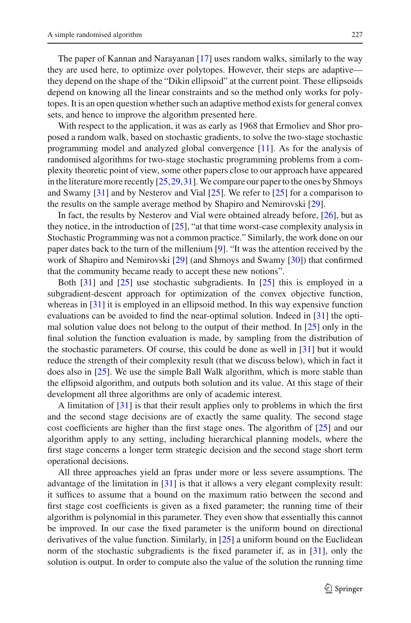The paper of Kannan and Narayanan [\[17\]](#page-22-18) uses random walks, similarly to the way they are used here, to optimize over polytopes. However, their steps are adaptive they depend on the shape of the "Dikin ellipsoid" at the current point. These ellipsoids depend on knowing all the linear constraints and so the method only works for polytopes. It is an open question whether such an adaptive method exists for general convex sets, and hence to improve the algorithm presented here.

With respect to the application, it was as early as 1968 that Ermoliev and Shor proposed a random walk, based on stochastic gradients, to solve the two-stage stochastic programming model and analyzed global convergence [\[11](#page-21-12)]. As for the analysis of randomised algorithms for two-stage stochastic programming problems from a complexity theoretic point of view, some other papers close to our approach have appeared in the literature more recently  $[25, 29, 31]$  $[25, 29, 31]$ . We compare our paper to the ones by Shmoys and Swamy [\[31](#page-22-4)] and by Nesterov and Vial [\[25\]](#page-22-15). We refer to [\[25](#page-22-15)] for a comparison to the results on the sample average method by Shapiro and Nemirovski [\[29\]](#page-22-14).

In fact, the results by Nesterov and Vial were obtained already before, [\[26](#page-22-3)], but as they notice, in the introduction of [\[25\]](#page-22-15), "at that time worst-case complexity analysis in Stochastic Programming was not a common practice." Similarly, the work done on our paper dates back to the turn of the millenium [\[9](#page-21-13)]. "It was the attention received by the work of Shapiro and Nemirovski [\[29\]](#page-22-14) (and Shmoys and Swamy [\[30\]](#page-22-19)) that confirmed that the community became ready to accept these new notions".

Both [\[31](#page-22-4)] and [\[25\]](#page-22-15) use stochastic subgradients. In [\[25\]](#page-22-15) this is employed in a subgradient-descent approach for optimization of the convex objective function, whereas in [\[31](#page-22-4)] it is employed in an ellipsoid method. In this way expensive function evaluations can be avoided to find the near-optimal solution. Indeed in [\[31](#page-22-4)] the optimal solution value does not belong to the output of their method. In [\[25\]](#page-22-15) only in the final solution the function evaluation is made, by sampling from the distribution of the stochastic parameters. Of course, this could be done as well in [\[31](#page-22-4)] but it would reduce the strength of their complexity result (that we discuss below), which in fact it does also in [\[25](#page-22-15)]. We use the simple Ball Walk algorithm, which is more stable than the ellipsoid algorithm, and outputs both solution and its value. At this stage of their development all three algorithms are only of academic interest.

A limitation of [\[31](#page-22-4)] is that their result applies only to problems in which the first and the second stage decisions are of exactly the same quality. The second stage cost coefficients are higher than the first stage ones. The algorithm of [\[25\]](#page-22-15) and our algorithm apply to any setting, including hierarchical planning models, where the first stage concerns a longer term strategic decision and the second stage short term operational decisions.

All three approaches yield an fpras under more or less severe assumptions. The advantage of the limitation in [\[31\]](#page-22-4) is that it allows a very elegant complexity result: it suffices to assume that a bound on the maximum ratio between the second and first stage cost coefficients is given as a fixed parameter; the running time of their algorithm is polynomial in this parameter. They even show that essentially this cannot be improved. In our case the fixed parameter is the uniform bound on directional derivatives of the value function. Similarly, in [\[25](#page-22-15)] a uniform bound on the Euclidean norm of the stochastic subgradients is the fixed parameter if, as in [\[31\]](#page-22-4), only the solution is output. In order to compute also the value of the solution the running time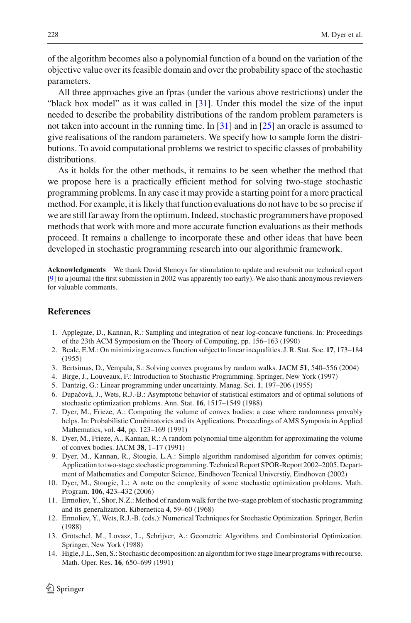of the algorithm becomes also a polynomial function of a bound on the variation of the objective value over its feasible domain and over the probability space of the stochastic parameters.

All three approaches give an fpras (under the various above restrictions) under the "black box model" as it was called in [\[31](#page-22-4)]. Under this model the size of the input needed to describe the probability distributions of the random problem parameters is not taken into account in the running time. In [\[31](#page-22-4)] and in [\[25\]](#page-22-15) an oracle is assumed to give realisations of the random parameters. We specify how to sample form the distributions. To avoid computational problems we restrict to specific classes of probability distributions.

As it holds for the other methods, it remains to be seen whether the method that we propose here is a practically efficient method for solving two-stage stochastic programming problems. In any case it may provide a starting point for a more practical method. For example, it is likely that function evaluations do not have to be so precise if we are still far away from the optimum. Indeed, stochastic programmers have proposed methods that work with more and more accurate function evaluations as their methods proceed. It remains a challenge to incorporate these and other ideas that have been developed in stochastic programming research into our algorithmic framework.

**Acknowledgments** We thank David Shmoys for stimulation to update and resubmit our technical report [\[9](#page-21-13)] to a journal (the first submission in 2002 was apparently too early). We also thank anonymous reviewers for valuable comments.

### <span id="page-21-8"></span>**References**

- 1. Applegate, D., Kannan, R.: Sampling and integration of near log-concave functions. In: Proceedings of the 23th ACM Symposium on the Theory of Computing, pp. 156–163 (1990)
- <span id="page-21-1"></span>2. Beale, E.M.: On minimizing a convex function subject to linear inequalities. J. R. Stat. Soc. **17**, 173–184 (1955)
- <span id="page-21-11"></span><span id="page-21-4"></span>3. Bertsimas, D., Vempala, S.: Solving convex programs by random walks. JACM **51**, 540–556 (2004)
- 4. Birge, J., Louveaux, F.: Introduction to Stochastic Programming. Springer, New York (1997)
- 5. Dantzig, G.: Linear programming under uncertainty. Manag. Sci. **1**, 197–206 (1955)
- <span id="page-21-6"></span><span id="page-21-2"></span>6. Dupaˇcovà, J., Wets, R.J.-B.: Asymptotic behavior of statistical estimators and of optimal solutions of stochastic optimization problems. Ann. Stat. **16**, 1517–1549 (1988)
- <span id="page-21-10"></span>7. Dyer, M., Frieze, A.: Computing the volume of convex bodies: a case where randomness provably helps. In: Probabilistic Combinatorics and its Applications. Proceedings of AMS Symposia in Applied Mathematics, vol. **44**, pp. 123–169 (1991)
- <span id="page-21-9"></span>8. Dyer, M., Frieze, A., Kannan, R.: A random polynomial time algorithm for approximating the volume of convex bodies. JACM **38**, 1–17 (1991)
- <span id="page-21-13"></span>9. Dyer, M., Kannan, R., Stougie, L.A.: Simple algorithm randomised algorithm for convex optimis; Application to two-stage stochastic programming. Technical Report SPOR-Report 2002–2005, Department of Mathematics and Computer Science, Eindhoven Tecnical Universtiy, Eindhoven (2002)
- <span id="page-21-3"></span>10. Dyer, M., Stougie, L.: A note on the complexity of some stochastic optimization problems. Math. Program. **106**, 423–432 (2006)
- <span id="page-21-12"></span>11. Ermoliev, Y., Shor, N.Z.: Method of random walk for the two-stage problem of stochastic programming and its generalization. Kibernetica **4**, 59–60 (1968)
- <span id="page-21-5"></span>12. Ermoliev, Y., Wets, R.J.-B. (eds.): Numerical Techniques for Stochastic Optimization. Springer, Berlin (1988)
- <span id="page-21-0"></span>13. Grötschel, M., Lovasz, L., Schrijver, A.: Geometric Algorithms and Combinatorial Optimization. Springer, New York (1988)
- <span id="page-21-7"></span>14. Higle, J.L., Sen, S.: Stochastic decomposition: an algorithm for two stage linear programs with recourse. Math. Oper. Res. **16**, 650–699 (1991)